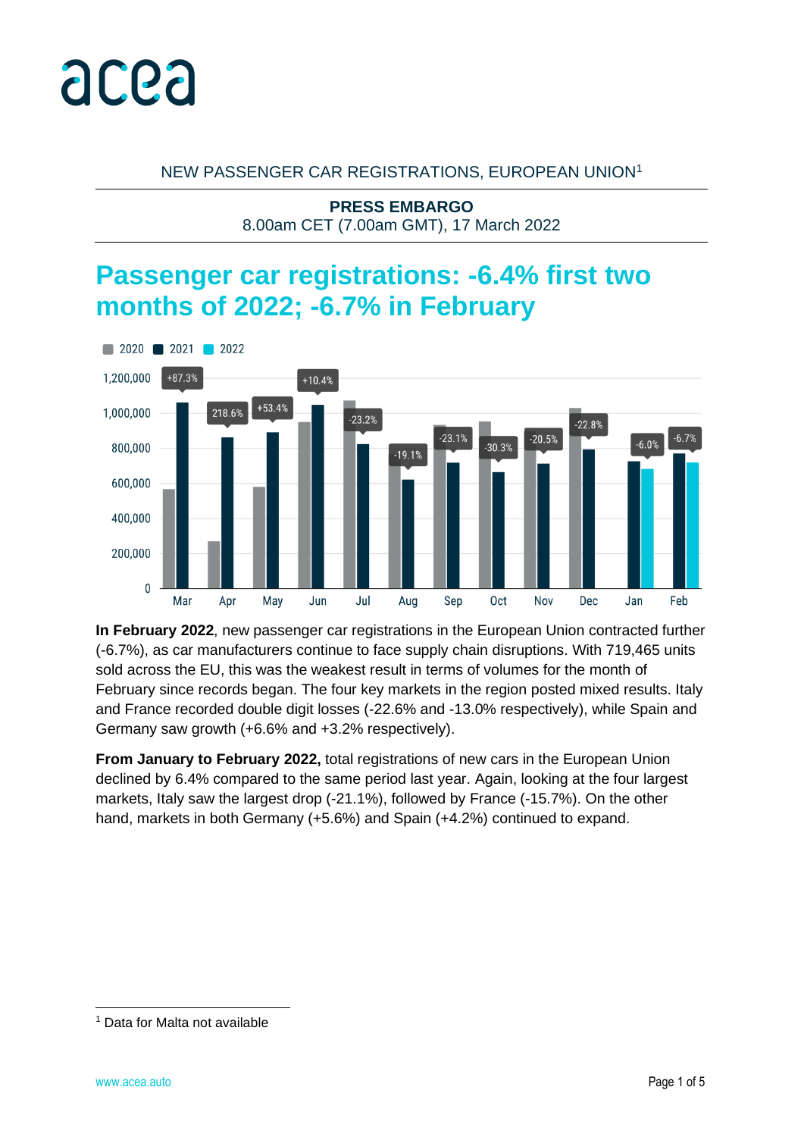

#### NEW PASSENGER CAR REGISTRATIONS, EUROPEAN UNION<sup>1</sup>

**PRESS EMBARGO** 8.00am CET (7.00am GMT), 17 March 2022

# **Passenger car registrations: -6.4% first two months of 2022; -6.7% in February**



**In February 2022**, new passenger car registrations in the European Union contracted further (-6.7%), as car manufacturers continue to face supply chain disruptions. With 719,465 units sold across the EU, this was the weakest result in terms of volumes for the month of February since records began. The four key markets in the region posted mixed results. Italy and France recorded double digit losses (-22.6% and -13.0% respectively), while Spain and Germany saw growth (+6.6% and +3.2% respectively).

**From January to February 2022,** total registrations of new cars in the European Union declined by 6.4% compared to the same period last year. Again, looking at the four largest markets, Italy saw the largest drop (-21.1%), followed by France (-15.7%). On the other hand, markets in both Germany (+5.6%) and Spain (+4.2%) continued to expand.

<sup>1</sup> Data for Malta not available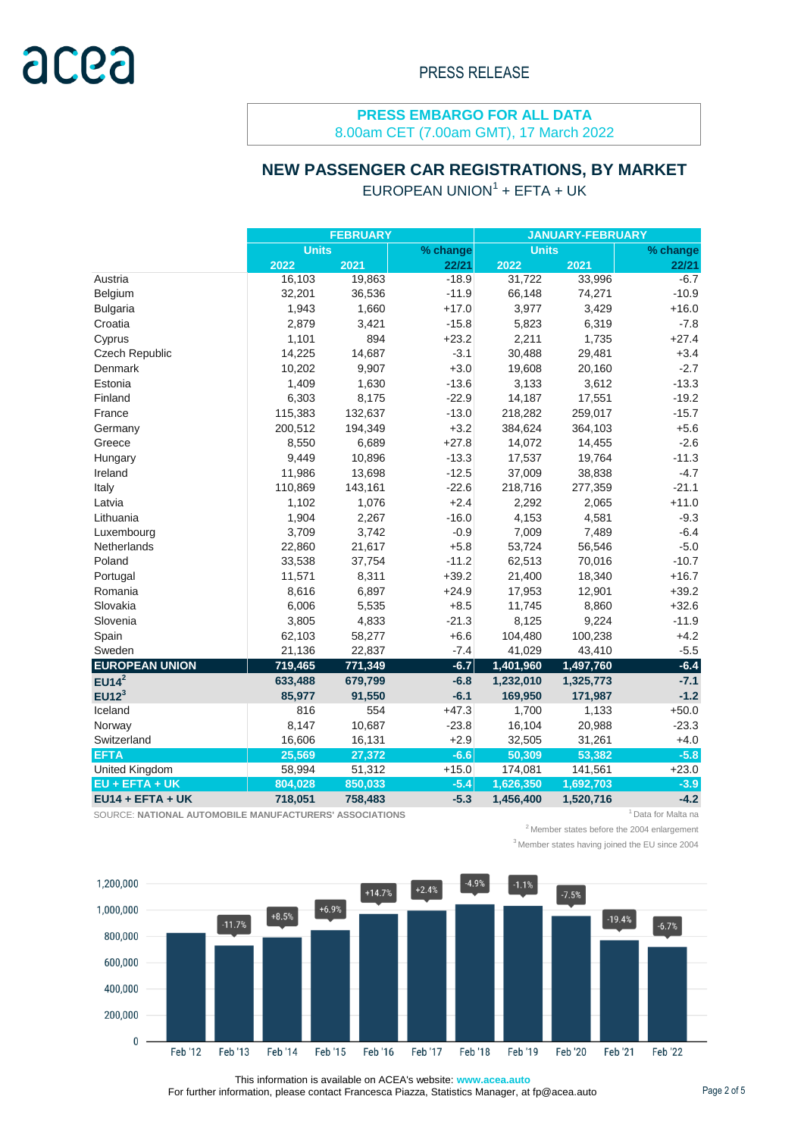8.00am CET (7.00am GMT), 17 March 2022

#### **NEW PASSENGER CAR REGISTRATIONS, BY MARKET**

#### $EUROPEAN UNION<sup>1</sup> + EFTA + UK$

|                       |              | <b>FEBRUARY</b> |          | <b>JANUARY-FEBRUARY</b> |           |          |  |  |
|-----------------------|--------------|-----------------|----------|-------------------------|-----------|----------|--|--|
|                       | <b>Units</b> |                 | % change | <b>Units</b>            |           | % change |  |  |
|                       | 2022         | 2021            | 22/21    | 2022                    | 2021      | 22/21    |  |  |
| Austria               | 16,103       | 19,863          | $-18.9$  | 31,722                  | 33,996    | $-6.7$   |  |  |
| Belgium               | 32,201       | 36,536          | $-11.9$  | 66,148                  | 74,271    | $-10.9$  |  |  |
| <b>Bulgaria</b>       | 1,943        | 1,660           | $+17.0$  | 3,977                   | 3,429     | $+16.0$  |  |  |
| Croatia               | 2,879        | 3,421           | $-15.8$  | 5,823                   | 6,319     | $-7.8$   |  |  |
| Cyprus                | 1,101        | 894             | $+23.2$  | 2,211                   | 1,735     | $+27.4$  |  |  |
| Czech Republic        | 14,225       | 14,687          | $-3.1$   | 30,488                  | 29,481    | $+3.4$   |  |  |
| Denmark               | 10,202       | 9,907           | $+3.0$   | 19,608                  | 20,160    | $-2.7$   |  |  |
| Estonia               | 1,409        | 1,630           | $-13.6$  | 3,133                   | 3,612     | $-13.3$  |  |  |
| Finland               | 6,303        | 8,175           | $-22.9$  | 14,187                  | 17,551    | $-19.2$  |  |  |
| France                | 115,383      | 132,637         | $-13.0$  | 218,282                 | 259,017   | $-15.7$  |  |  |
| Germany               | 200,512      | 194,349         | $+3.2$   | 384,624                 | 364,103   | $+5.6$   |  |  |
| Greece                | 8,550        | 6,689           | $+27.8$  | 14,072                  | 14,455    | $-2.6$   |  |  |
| Hungary               | 9,449        | 10,896          | $-13.3$  | 17,537                  | 19,764    | $-11.3$  |  |  |
| Ireland               | 11,986       | 13,698          | $-12.5$  | 37,009                  | 38,838    | $-4.7$   |  |  |
| Italy                 | 110,869      | 143,161         | $-22.6$  | 218,716                 | 277,359   | $-21.1$  |  |  |
| Latvia                | 1,102        | 1,076           | $+2.4$   | 2,292                   | 2,065     | $+11.0$  |  |  |
| Lithuania             | 1,904        | 2,267           | $-16.0$  | 4,153                   | 4,581     | $-9.3$   |  |  |
| Luxembourg            | 3,709        | 3,742           | $-0.9$   | 7,009                   | 7,489     | $-6.4$   |  |  |
| Netherlands           | 22,860       | 21,617          | $+5.8$   | 53,724                  | 56,546    | $-5.0$   |  |  |
| Poland                | 33,538       | 37,754          | $-11.2$  | 62,513                  | 70,016    | $-10.7$  |  |  |
| Portugal              | 11,571       | 8,311           | $+39.2$  | 21,400                  | 18,340    | $+16.7$  |  |  |
| Romania               | 8,616        | 6,897           | $+24.9$  | 17,953                  | 12,901    | $+39.2$  |  |  |
| Slovakia              | 6,006        | 5,535           | $+8.5$   | 11,745                  | 8,860     | $+32.6$  |  |  |
| Slovenia              | 3,805        | 4,833           | $-21.3$  | 8,125                   | 9,224     | $-11.9$  |  |  |
| Spain                 | 62,103       | 58,277          | $+6.6$   | 104,480                 | 100,238   | $+4.2$   |  |  |
| Sweden                | 21,136       | 22,837          | $-7.4$   | 41,029                  | 43,410    | $-5.5$   |  |  |
| <b>EUROPEAN UNION</b> | 719,465      | 771,349         | $-6.7$   | 1,401,960               | 1,497,760 | $-6.4$   |  |  |
| $EU14^2$              | 633,488      | 679,799         | $-6.8$   | 1,232,010               | 1,325,773 | $-7.1$   |  |  |
| EU12 <sup>3</sup>     | 85,977       | 91,550          | $-6.1$   | 169,950                 | 171,987   | $-1.2$   |  |  |
| Iceland               | 816          | 554             | $+47.3$  | 1,700                   | 1,133     | $+50.0$  |  |  |
| Norway                | 8,147        | 10,687          | $-23.8$  | 16,104                  | 20,988    | $-23.3$  |  |  |
| Switzerland           | 16,606       | 16,131          | $+2.9$   | 32,505                  | 31,261    | $+4.0$   |  |  |
| <b>EFTA</b>           | 25,569       | 27,372          | $-6.6$   | 50,309                  | 53,382    | $-5.8$   |  |  |
| United Kingdom        | 58,994       | 51,312          | $+15.0$  | 174,081                 | 141,561   | $+23.0$  |  |  |
| $EU + EFTA + UK$      | 804,028      | 850,033         | $-5.4$   | 1,626,350               | 1,692,703 | $-3.9$   |  |  |
| $EU14 + EFTA + UK$    | 718,051      | 758,483         | $-5.3$   | 1,456,400               | 1,520,716 | $-4.2$   |  |  |

SOURCE: **NATIONAL AUTOMOBILE MANUFACTURERS' ASSOCIATIONS** <sup>1</sup>Data for Malta na

 $2$ Member states before the 2004 enlargement

<sup>3</sup> Member states having joined the EU since 2004



This information is available on ACEA's website: **www.acea.auto**  For further information, please contact Francesca Piazza, Statistics Manager, at fp@acea.auto Page 2 of 5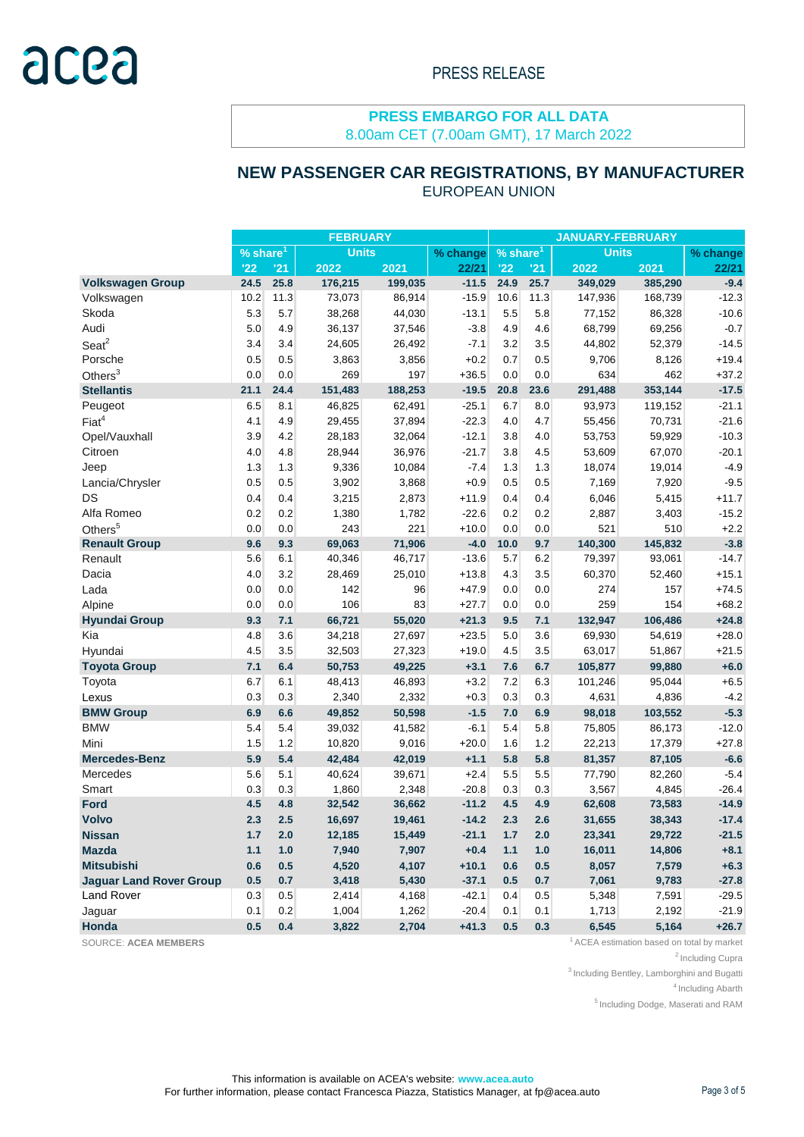8.00am CET (7.00am GMT), 17 March 2022

## **NEW PASSENGER CAR REGISTRATIONS, BY MANUFACTURER**

| <b>EUROPEAN UNION</b> |  |
|-----------------------|--|
|-----------------------|--|

|                                | <b>FEBRUARY</b>                        |      |         |          |             | <b>JANUARY-FEBRUARY</b> |              |         |          |         |
|--------------------------------|----------------------------------------|------|---------|----------|-------------|-------------------------|--------------|---------|----------|---------|
|                                | <b>Units</b><br>$%$ share <sup>1</sup> |      |         | % change | % share $1$ |                         | <b>Units</b> |         | % change |         |
|                                | '22                                    | '21  | 2022    | 2021     | 22/21       | '22                     | '21          | 2022    | 2021     | 22/21   |
| <b>Volkswagen Group</b>        | 24.5                                   | 25.8 | 176,215 | 199,035  | $-11.5$     | 24.9                    | 25.7         | 349,029 | 385,290  | $-9.4$  |
| Volkswagen                     | 10.2                                   | 11.3 | 73,073  | 86,914   | $-15.9$     | 10.6                    | 11.3         | 147,936 | 168,739  | $-12.3$ |
| Skoda                          | 5.3                                    | 5.7  | 38,268  | 44,030   | $-13.1$     | 5.5                     | 5.8          | 77,152  | 86,328   | $-10.6$ |
| Audi                           | 5.0                                    | 4.9  | 36,137  | 37,546   | $-3.8$      | 4.9                     | 4.6          | 68,799  | 69,256   | $-0.7$  |
| Seat <sup>2</sup>              | 3.4                                    | 3.4  | 24,605  | 26,492   | $-7.1$      | 3.2                     | 3.5          | 44,802  | 52,379   | $-14.5$ |
| Porsche                        | 0.5                                    | 0.5  | 3,863   | 3,856    | $+0.2$      | 0.7                     | 0.5          | 9,706   | 8,126    | $+19.4$ |
| Others $3$                     | 0.0                                    | 0.0  | 269     | 197      | $+36.5$     | 0.0                     | 0.0          | 634     | 462      | $+37.2$ |
| <b>Stellantis</b>              | 21.1                                   | 24.4 | 151,483 | 188,253  | $-19.5$     | 20.8                    | 23.6         | 291,488 | 353,144  | $-17.5$ |
| Peugeot                        | 6.5                                    | 8.1  | 46,825  | 62,491   | $-25.1$     | 6.7                     | 8.0          | 93,973  | 119,152  | $-21.1$ |
| Fiat <sup>4</sup>              | 4.1                                    | 4.9  | 29,455  | 37,894   | $-22.3$     | 4.0                     | 4.7          | 55,456  | 70,731   | $-21.6$ |
| Opel/Vauxhall                  | 3.9                                    | 4.2  | 28,183  | 32,064   | $-12.1$     | 3.8                     | 4.0          | 53,753  | 59,929   | $-10.3$ |
| Citroen                        | 4.0                                    | 4.8  | 28,944  | 36,976   | $-21.7$     | 3.8                     | 4.5          | 53,609  | 67,070   | $-20.1$ |
| Jeep                           | 1.3                                    | 1.3  | 9,336   | 10,084   | $-7.4$      | 1.3                     | 1.3          | 18,074  | 19,014   | $-4.9$  |
| Lancia/Chrysler                | 0.5                                    | 0.5  | 3,902   | 3,868    | $+0.9$      | 0.5                     | 0.5          | 7,169   | 7,920    | $-9.5$  |
| DS                             | 0.4                                    | 0.4  | 3,215   | 2,873    | $+11.9$     | 0.4                     | 0.4          | 6,046   | 5,415    | $+11.7$ |
| Alfa Romeo                     | 0.2                                    | 0.2  | 1,380   | 1,782    | $-22.6$     | 0.2                     | 0.2          | 2,887   | 3,403    | $-15.2$ |
| Others <sup>5</sup>            | 0.0                                    | 0.0  | 243     | 221      | $+10.0$     | 0.0                     | 0.0          | 521     | 510      | $+2.2$  |
| <b>Renault Group</b>           | 9.6                                    | 9.3  | 69,063  | 71,906   | $-4.0$      | 10.0                    | 9.7          | 140,300 | 145,832  | $-3.8$  |
| Renault                        | 5.6                                    | 6.1  | 40,346  | 46,717   | $-13.6$     | 5.7                     | 6.2          | 79,397  | 93,061   | $-14.7$ |
| Dacia                          | 4.0                                    | 3.2  | 28,469  | 25,010   | $+13.8$     | 4.3                     | 3.5          | 60,370  | 52,460   | $+15.1$ |
| Lada                           | 0.0                                    | 0.0  | 142     | 96       | $+47.9$     | 0.0                     | 0.0          | 274     | 157      | $+74.5$ |
| Alpine                         | 0.0                                    | 0.0  | 106     | 83       | $+27.7$     | 0.0                     | 0.0          | 259     | 154      | $+68.2$ |
| <b>Hyundai Group</b>           | 9.3                                    | 7.1  | 66,721  | 55,020   | $+21.3$     | 9.5                     | 7.1          | 132,947 | 106,486  | $+24.8$ |
| Kia                            | 4.8                                    | 3.6  | 34,218  | 27,697   | $+23.5$     | 5.0                     | 3.6          | 69,930  | 54,619   | $+28.0$ |
| Hyundai                        | 4.5                                    | 3.5  | 32,503  | 27,323   | $+19.0$     | 4.5                     | 3.5          | 63,017  | 51,867   | $+21.5$ |
| <b>Toyota Group</b>            | 7.1                                    | 6.4  | 50,753  | 49,225   | $+3.1$      | 7.6                     | 6.7          | 105,877 | 99,880   | $+6.0$  |
| Toyota                         | 6.7                                    | 6.1  | 48,413  | 46,893   | $+3.2$      | 7.2                     | 6.3          | 101,246 | 95,044   | $+6.5$  |
| Lexus                          | 0.3                                    | 0.3  | 2,340   | 2,332    | $+0.3$      | 0.3                     | 0.3          | 4,631   | 4,836    | $-4.2$  |
| <b>BMW Group</b>               | 6.9                                    | 6.6  | 49,852  | 50,598   | $-1.5$      | 7.0                     | 6.9          | 98,018  | 103,552  | $-5.3$  |
| <b>BMW</b>                     | 5.4                                    | 5.4  | 39,032  | 41,582   | $-6.1$      | 5.4                     | 5.8          | 75,805  | 86,173   | $-12.0$ |
| Mini                           | 1.5                                    | 1.2  | 10,820  | 9,016    | $+20.0$     | 1.6                     | 1.2          | 22,213  | 17,379   | $+27.8$ |
| <b>Mercedes-Benz</b>           | 5.9                                    | 5.4  | 42,484  | 42,019   | $+1.1$      | 5.8                     | 5.8          | 81,357  | 87,105   | $-6.6$  |
| Mercedes                       | 5.6                                    | 5.1  | 40,624  | 39,671   | $+2.4$      | 5.5                     | 5.5          | 77,790  | 82,260   | $-5.4$  |
| Smart                          | 0.3                                    | 0.3  | 1,860   | 2,348    | $-20.8$     | 0.3                     | 0.3          | 3,567   | 4,845    | $-26.4$ |
| <b>Ford</b>                    | 4.5                                    | 4.8  | 32,542  | 36,662   | $-11.2$     | 4.5                     | 4.9          | 62,608  | 73,583   | $-14.9$ |
| <b>Volvo</b>                   | 2.3                                    | 2.5  | 16,697  | 19,461   | $-14.2$     | 2.3                     | 2.6          | 31,655  | 38,343   | $-17.4$ |
| <b>Nissan</b>                  | 1.7                                    | 2.0  | 12,185  | 15,449   | -21.1       | 1.7                     | 2.0          | 23,341  | 29,722   | -21.5   |
| <b>Mazda</b>                   | $1.1$                                  | 1.0  | 7,940   | 7,907    | $+0.4$      | $1.1$                   | $1.0$        | 16,011  | 14,806   | $+8.1$  |
| <b>Mitsubishi</b>              | 0.6                                    | 0.5  | 4,520   | 4,107    | $+10.1$     | 0.6                     | 0.5          | 8,057   | 7,579    | $+6.3$  |
| <b>Jaguar Land Rover Group</b> | 0.5                                    | 0.7  | 3,418   | 5,430    | $-37.1$     | 0.5                     | 0.7          | 7,061   | 9,783    | $-27.8$ |
| <b>Land Rover</b>              | 0.3                                    | 0.5  | 2,414   | 4,168    | $-42.1$     | 0.4                     | 0.5          | 5,348   | 7,591    | $-29.5$ |
| Jaguar                         | 0.1                                    | 0.2  | 1,004   | 1,262    | $-20.4$     | 0.1                     | 0.1          | 1,713   | 2,192    | $-21.9$ |
| Honda                          | 0.5                                    | 0.4  | 3,822   | 2,704    | $+41.3$     | 0.5                     | 0.3          | 6,545   | 5,164    | $+26.7$ |

SOURCE: ACEA MEMBERS **1** ACEA estimation based on total by market

<sup>2</sup> Including Cupra

 $3$  Including Bentley, Lamborghini and Bugatti

<sup>4</sup> Including Abarth

<sup>5</sup> Including Dodge, Maserati and RAM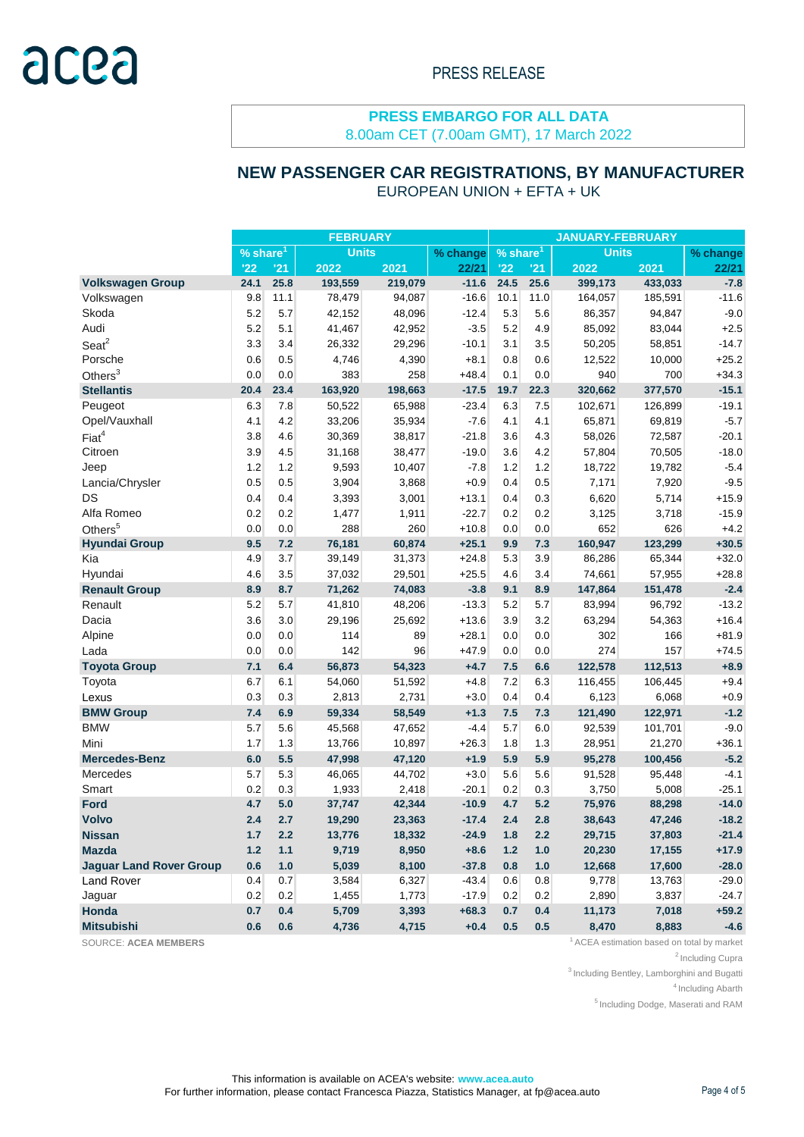8.00am CET (7.00am GMT), 17 March 2022

## **NEW PASSENGER CAR REGISTRATIONS, BY MANUFACTURER**

EUROPEAN UNION + EFTA + UK

|                                | <b>FEBRUARY</b>             |      |          |                        | <b>JANUARY-FEBRUARY</b> |              |      |          |         |         |
|--------------------------------|-----------------------------|------|----------|------------------------|-------------------------|--------------|------|----------|---------|---------|
|                                | <b>Units</b><br>% share $1$ |      | % change | $%$ share <sup>1</sup> |                         | <b>Units</b> |      | % change |         |         |
|                                | '22                         | '21  | 2022     | 2021                   | 22/21                   | '22          | '21  | 2022     | 2021    | 22/21   |
| <b>Volkswagen Group</b>        | 24.1                        | 25.8 | 193,559  | 219,079                | $-11.6$                 | 24.5         | 25.6 | 399,173  | 433,033 | $-7.8$  |
| Volkswagen                     | 9.8                         | 11.1 | 78,479   | 94,087                 | $-16.6$                 | 10.1         | 11.0 | 164,057  | 185,591 | $-11.6$ |
| Skoda                          | 5.2                         | 5.7  | 42,152   | 48,096                 | $-12.4$                 | 5.3          | 5.6  | 86,357   | 94,847  | $-9.0$  |
| Audi                           | 5.2                         | 5.1  | 41,467   | 42,952                 | $-3.5$                  | 5.2          | 4.9  | 85,092   | 83,044  | $+2.5$  |
| $S$ eat $2$                    | 3.3                         | 3.4  | 26,332   | 29,296                 | $-10.1$                 | 3.1          | 3.5  | 50,205   | 58,851  | $-14.7$ |
| Porsche                        | 0.6                         | 0.5  | 4,746    | 4,390                  | $+8.1$                  | 0.8          | 0.6  | 12,522   | 10,000  | $+25.2$ |
| Others $3$                     | 0.0                         | 0.0  | 383      | 258                    | $+48.4$                 | 0.1          | 0.0  | 940      | 700     | $+34.3$ |
| <b>Stellantis</b>              | 20.4                        | 23.4 | 163,920  | 198,663                | $-17.5$                 | 19.7         | 22.3 | 320,662  | 377,570 | $-15.1$ |
| Peugeot                        | 6.3                         | 7.8  | 50,522   | 65,988                 | $-23.4$                 | 6.3          | 7.5  | 102,671  | 126,899 | $-19.1$ |
| Opel/Vauxhall                  | 4.1                         | 4.2  | 33,206   | 35,934                 | $-7.6$                  | 4.1          | 4.1  | 65,871   | 69,819  | $-5.7$  |
| Fiat <sup>4</sup>              | 3.8                         | 4.6  | 30,369   | 38,817                 | $-21.8$                 | 3.6          | 4.3  | 58,026   | 72,587  | $-20.1$ |
| Citroen                        | 3.9                         | 4.5  | 31,168   | 38,477                 | $-19.0$                 | 3.6          | 4.2  | 57,804   | 70,505  | $-18.0$ |
| Jeep                           | 1.2                         | 1.2  | 9,593    | 10,407                 | $-7.8$                  | 1.2          | 1.2  | 18,722   | 19,782  | $-5.4$  |
| Lancia/Chrysler                | 0.5                         | 0.5  | 3,904    | 3,868                  | $+0.9$                  | 0.4          | 0.5  | 7,171    | 7,920   | $-9.5$  |
| DS                             | 0.4                         | 0.4  | 3,393    | 3,001                  | $+13.1$                 | 0.4          | 0.3  | 6,620    | 5,714   | $+15.9$ |
| Alfa Romeo                     | 0.2                         | 0.2  | 1,477    | 1,911                  | $-22.7$                 | 0.2          | 0.2  | 3,125    | 3,718   | $-15.9$ |
| Others <sup>5</sup>            | 0.0                         | 0.0  | 288      | 260                    | $+10.8$                 | 0.0          | 0.0  | 652      | 626     | $+4.2$  |
| <b>Hyundai Group</b>           | 9.5                         | 7.2  | 76,181   | 60,874                 | $+25.1$                 | 9.9          | 7.3  | 160,947  | 123,299 | $+30.5$ |
| Kia                            | 4.9                         | 3.7  | 39,149   | 31,373                 | $+24.8$                 | 5.3          | 3.9  | 86,286   | 65,344  | $+32.0$ |
| Hyundai                        | 4.6                         | 3.5  | 37,032   | 29,501                 | $+25.5$                 | 4.6          | 3.4  | 74,661   | 57,955  | $+28.8$ |
| <b>Renault Group</b>           | 8.9                         | 8.7  | 71,262   | 74,083                 | $-3.8$                  | 9.1          | 8.9  | 147,864  | 151,478 | $-2.4$  |
| Renault                        | 5.2                         | 5.7  | 41,810   | 48,206                 | $-13.3$                 | 5.2          | 5.7  | 83,994   | 96,792  | $-13.2$ |
| Dacia                          | 3.6                         | 3.0  | 29,196   | 25,692                 | $+13.6$                 | 3.9          | 3.2  | 63,294   | 54,363  | $+16.4$ |
| Alpine                         | 0.0                         | 0.0  | 114      | 89                     | $+28.1$                 | 0.0          | 0.0  | 302      | 166     | $+81.9$ |
| Lada                           | 0.0                         | 0.0  | 142      | 96                     | $+47.9$                 | 0.0          | 0.0  | 274      | 157     | $+74.5$ |
| <b>Toyota Group</b>            | 7.1                         | 6.4  | 56,873   | 54,323                 | $+4.7$                  | 7.5          | 6.6  | 122,578  | 112,513 | $+8.9$  |
| Toyota                         | 6.7                         | 6.1  | 54,060   | 51,592                 | $+4.8$                  | 7.2          | 6.3  | 116,455  | 106,445 | $+9.4$  |
| Lexus                          | 0.3                         | 0.3  | 2,813    | 2,731                  | $+3.0$                  | 0.4          | 0.4  | 6,123    | 6,068   | $+0.9$  |
| <b>BMW Group</b>               | 7.4                         | 6.9  | 59,334   | 58,549                 | $+1.3$                  | 7.5          | 7.3  | 121,490  | 122,971 | $-1.2$  |
| <b>BMW</b>                     | 5.7                         | 5.6  | 45,568   | 47,652                 | $-4.4$                  | 5.7          | 6.0  | 92,539   | 101,701 | $-9.0$  |
| Mini                           | 1.7                         | 1.3  | 13,766   | 10,897                 | $+26.3$                 | 1.8          | 1.3  | 28,951   | 21,270  | $+36.1$ |
| <b>Mercedes-Benz</b>           | 6.0                         | 5.5  | 47,998   | 47,120                 | $+1.9$                  | 5.9          | 5.9  | 95,278   | 100,456 | $-5.2$  |
| Mercedes                       | 5.7                         | 5.3  | 46,065   | 44,702                 | $+3.0$                  | 5.6          | 5.6  | 91,528   | 95,448  | $-4.1$  |
| Smart                          | 0.2                         | 0.3  | 1,933    | 2,418                  | $-20.1$                 | 0.2          | 0.3  | 3,750    | 5,008   | $-25.1$ |
| <b>Ford</b>                    | 4.7                         | 5.0  | 37,747   | 42,344                 | $-10.9$                 | 4.7          | 5.2  | 75,976   | 88,298  | $-14.0$ |
| <b>Volvo</b>                   | 2.4                         | 2.7  | 19,290   | 23,363                 | $-17.4$                 | 2.4          | 2.8  | 38,643   | 47,246  | $-18.2$ |
| <b>Nissan</b>                  | 1.7                         | 2.2  | 13,776   | 18,332                 | $-24.9$                 | 1.8          | 2.2  | 29,715   | 37,803  | $-21.4$ |
| <b>Mazda</b>                   | 1.2                         | 1.1  | 9,719    | 8,950                  | $+8.6$                  | 1.2          | 1.0  | 20,230   | 17,155  | $+17.9$ |
| <b>Jaguar Land Rover Group</b> | 0.6                         | 1.0  | 5,039    | 8,100                  | $-37.8$                 | 0.8          | 1.0  | 12,668   | 17,600  | $-28.0$ |
| <b>Land Rover</b>              | 0.4                         | 0.7  | 3,584    | 6,327                  | $-43.4$                 | 0.6          | 0.8  | 9,778    | 13,763  | $-29.0$ |
| Jaguar                         | 0.2                         | 0.2  | 1,455    | 1,773                  | $-17.9$                 | 0.2          | 0.2  | 2,890    | 3,837   | $-24.7$ |
| Honda                          | 0.7                         | 0.4  | 5,709    | 3,393                  | $+68.3$                 | 0.7          | 0.4  | 11,173   | 7,018   | $+59.2$ |
| <b>Mitsubishi</b>              | 0.6                         | 0.6  | 4,736    | 4,715                  | $+0.4$                  | 0.5          | 0.5  | 8,470    | 8,883   | $-4.6$  |

SOURCE: ACEA MEMBERS **1** ACEA estimation based on total by market

 $2$ Including Cupra

 $3$  Including Bentley, Lamborghini and Bugatti

<sup>4</sup> Including Abarth

<sup>5</sup> Including Dodge, Maserati and RAM